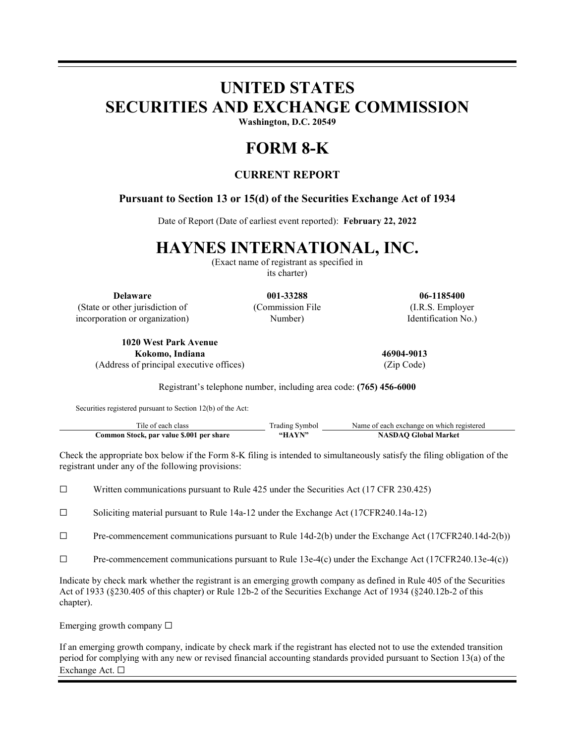# **UNITED STATES SECURITIES AND EXCHANGE COMMISSION**

**Washington, D.C. 20549**

## **FORM 8-K**

### **CURRENT REPORT**

### **Pursuant to Section 13 or 15(d) of the Securities Exchange Act of 1934**

Date of Report (Date of earliest event reported): **February 22, 2022**

## **HAYNES INTERNATIONAL, INC.**

(Exact name of registrant as specified in its charter)

**Delaware 001-33288 06-1185400** (State or other jurisdiction of incorporation or organization)

(Commission File Number)

(I.R.S. Employer Identification No.)

**1020 West Park Avenue Kokomo, Indiana 46904-9013** (Address of principal executive offices) (Zip Code)

Registrant's telephone number, including area code: **(765) 456-6000**

Securities registered pursuant to Section 12(b) of the Act:

| Tile of each class                       | Trading Symbol | Name of each exchange on which registered |
|------------------------------------------|----------------|-------------------------------------------|
| Common Stock, par value \$.001 per share | "HAYN"         | <b>NASDAO Global Market</b>               |

Check the appropriate box below if the Form 8-K filing is intended to simultaneously satisfy the filing obligation of the registrant under any of the following provisions:

☐ Written communications pursuant to Rule 425 under the Securities Act (17 CFR 230.425)

☐ Soliciting material pursuant to Rule 14a-12 under the Exchange Act (17CFR240.14a-12)

☐ Pre-commencement communications pursuant to Rule 14d-2(b) under the Exchange Act (17CFR240.14d-2(b))

☐ Pre-commencement communications pursuant to Rule 13e-4(c) under the Exchange Act (17CFR240.13e-4(c))

Indicate by check mark whether the registrant is an emerging growth company as defined in Rule 405 of the Securities Act of 1933 (§230.405 of this chapter) or Rule 12b-2 of the Securities Exchange Act of 1934 (§240.12b-2 of this chapter).

Emerging growth company  $\Box$ 

If an emerging growth company, indicate by check mark if the registrant has elected not to use the extended transition period for complying with any new or revised financial accounting standards provided pursuant to Section 13(a) of the Exchange Act. ☐